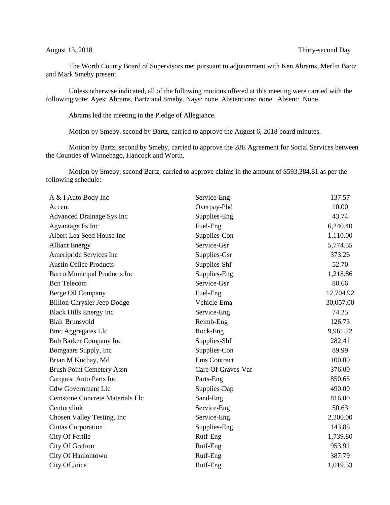The Worth County Board of Supervisors met pursuant to adjournment with Ken Abrams, Merlin Bartz and Mark Smeby present.

Unless otherwise indicated, all of the following motions offered at this meeting were carried with the following vote: Ayes: Abrams, Bartz and Smeby. Nays: none. Abstentions: none. Absent: None.

Abrams led the meeting in the Pledge of Allegiance.

Motion by Smeby, second by Bartz, carried to approve the August 6, 2018 board minutes.

Motion by Bartz, second by Smeby, carried to approve the 28E Agreement for Social Services between the Counties of Winnebago, Hancock and Worth.

Motion by Smeby, second Bartz, carried to approve claims in the amount of \$593,384.81 as per the following schedule:

| A & I Auto Body Inc                    | Service-Eng        | 137.57    |
|----------------------------------------|--------------------|-----------|
| Accent                                 | Overpay-Phd        | 10.00     |
| <b>Advanced Drainage Sys Inc</b>       | Supplies-Eng       | 43.74     |
| <b>Agvantage Fs Inc</b>                | Fuel-Eng           | 6,240.40  |
| Albert Lea Seed House Inc              | Supplies-Con       | 1,110.00  |
| <b>Alliant Energy</b>                  | Service-Gsr        | 5,774.55  |
| Ameripride Services Inc                | Supplies-Gsr       | 373.26    |
| <b>Austin Office Products</b>          | Supplies-Shf       | 52.70     |
| <b>Barco Municipal Products Inc</b>    | Supplies-Eng       | 1,218.86  |
| <b>Bcn</b> Telecom                     | Service-Gsr        | 80.66     |
| Berge Oil Company                      | Fuel-Eng           | 12,704.92 |
| <b>Billion Chrysler Jeep Dodge</b>     | Vehicle-Ema        | 30,057.00 |
| <b>Black Hills Energy Inc</b>          | Service-Eng        | 74.25     |
| <b>Blair Brunsvold</b>                 | Reimb-Eng          | 126.73    |
| <b>Bmc Aggregates Llc</b>              | Rock-Eng           | 9,961.72  |
| Bob Barker Company Inc                 | Supplies-Shf       | 282.41    |
| Bomgaars Supply, Inc                   | Supplies-Con       | 89.99     |
| Brian M Kuchay, Md                     | Ems Contract       | 100.00    |
| <b>Brush Point Cemetery Assn</b>       | Care Of Graves-Vaf | 376.00    |
| <b>Carquest Auto Parts Inc</b>         | Parts-Eng          | 850.65    |
| <b>Cdw Government Llc</b>              | Supplies-Dap       | 490.00    |
| <b>Cemstone Concrete Materials Llc</b> | Sand-Eng           | 816.00    |
| Centurylink                            | Service-Eng        | 50.63     |
| Chosen Valley Testing, Inc.            | Service-Eng        | 2,200.00  |
| Cintas Corporation                     | Supplies-Eng       | 143.85    |
| City Of Fertile                        | Rutf-Eng           | 1,739.80  |
| City Of Grafton                        | Rutf-Eng           | 953.91    |
| City Of Hanlontown                     | Rutf-Eng           | 387.79    |
| City Of Joice                          | Rutf-Eng           | 1,019.53  |
|                                        |                    |           |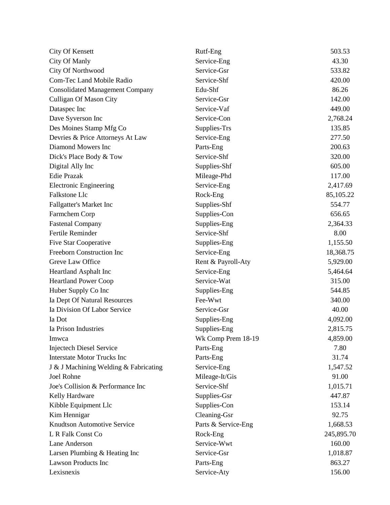| <b>City Of Kensett</b>                 | Rutf-Eng            | 503.53     |
|----------------------------------------|---------------------|------------|
| City Of Manly                          | Service-Eng         | 43.30      |
| City Of Northwood                      | Service-Gsr         | 533.82     |
| Com-Tec Land Mobile Radio              | Service-Shf         | 420.00     |
| <b>Consolidated Management Company</b> | Edu-Shf             | 86.26      |
| <b>Culligan Of Mason City</b>          | Service-Gsr         | 142.00     |
| Dataspec Inc                           | Service-Vaf         | 449.00     |
| Dave Syverson Inc                      | Service-Con         | 2,768.24   |
| Des Moines Stamp Mfg Co                | Supplies-Trs        | 135.85     |
| Devries & Price Attorneys At Law       | Service-Eng         | 277.50     |
| Diamond Mowers Inc                     | Parts-Eng           | 200.63     |
| Dick's Place Body & Tow                | Service-Shf         | 320.00     |
| Digital Ally Inc                       | Supplies-Shf        | 605.00     |
| <b>Edie Prazak</b>                     | Mileage-Phd         | 117.00     |
| <b>Electronic Engineering</b>          | Service-Eng         | 2,417.69   |
| Falkstone Llc                          | Rock-Eng            | 85,105.22  |
| Fallgatter's Market Inc                | Supplies-Shf        | 554.77     |
| Farmchem Corp                          | Supplies-Con        | 656.65     |
| <b>Fastenal Company</b>                | Supplies-Eng        | 2,364.33   |
| Fertile Reminder                       | Service-Shf         | 8.00       |
| <b>Five Star Cooperative</b>           | Supplies-Eng        | 1,155.50   |
| Freeborn Construction Inc              | Service-Eng         | 18,368.75  |
| Greve Law Office                       | Rent & Payroll-Aty  | 5,929.00   |
| Heartland Asphalt Inc                  | Service-Eng         | 5,464.64   |
| <b>Heartland Power Coop</b>            | Service-Wat         | 315.00     |
| Huber Supply Co Inc                    | Supplies-Eng        | 544.85     |
| Ia Dept Of Natural Resources           | Fee-Wwt             | 340.00     |
| Ia Division Of Labor Service           | Service-Gsr         | 40.00      |
| Ia Dot                                 | Supplies-Eng        | 4,092.00   |
| Ia Prison Industries                   | Supplies-Eng        | 2,815.75   |
| Imwca                                  | Wk Comp Prem 18-19  | 4,859.00   |
| <b>Injectech Diesel Service</b>        | Parts-Eng           | 7.80       |
| <b>Interstate Motor Trucks Inc</b>     | Parts-Eng           | 31.74      |
| J & J Machining Welding & Fabricating  | Service-Eng         | 1,547.52   |
| Joel Rohne                             | Mileage-It/Gis      | 91.00      |
| Joe's Collision & Performance Inc      | Service-Shf         | 1,015.71   |
| Kelly Hardware                         | Supplies-Gsr        | 447.87     |
| Kibble Equipment Llc                   | Supplies-Con        | 153.14     |
| Kim Hennigar                           | Cleaning-Gsr        | 92.75      |
| <b>Knudtson Automotive Service</b>     | Parts & Service-Eng | 1,668.53   |
| L R Falk Const Co                      | Rock-Eng            | 245,895.70 |
| Lane Anderson                          | Service-Wwt         | 160.00     |
| Larsen Plumbing & Heating Inc          | Service-Gsr         | 1,018.87   |
| <b>Lawson Products Inc</b>             | Parts-Eng           | 863.27     |
| Lexisnexis                             | Service-Aty         | 156.00     |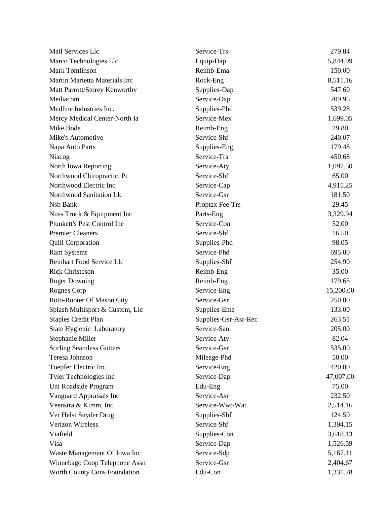| Mail Services Llc                | Service-Trs          | 279.84    |
|----------------------------------|----------------------|-----------|
| Marco Technologies Llc           | Equip-Dap            | 5,844.99  |
| <b>Mark Tomlinson</b>            | Reimb-Ema            | 150.00    |
| Martin Marietta Materials Inc    | Rock-Eng             | 8,511.16  |
| Matt Parrott/Storey Kenworthy    | Supplies-Dap         | 547.60    |
| Mediacom                         | Service-Dap          | 209.95    |
| Medline Industries Inc.          | Supplies-Phd         | 539.28    |
| Mercy Medical Center-North Ia    | Service-Mex          | 1,699.05  |
| Mike Bode                        | Reimb-Eng            | 29.80     |
| Mike's Automotive                | Service-Shf          | 240.07    |
| Napa Auto Parts                  | Supplies-Eng         | 179.48    |
| Niacog                           | Service-Tra          | 450.68    |
| North Iowa Reporting             | Service-Aty          | 1,097.50  |
| Northwood Chiropractic, Pc       | Service-Shf          | 65.00     |
| Northwood Electric Inc           | Service-Cap          | 4,915.25  |
| Northwood Sanitation Llc         | Service-Gsr          | 181.50    |
| Nsb Bank                         | Proptax Fee-Trs      | 29.45     |
| Nuss Truck & Equipment Inc       | Parts-Eng            | 3,329.94  |
| Plunkett's Pest Control Inc      | Service-Con          | 52.00     |
| <b>Premier Cleaners</b>          | Service-Shf          | 16.50     |
| <b>Quill Corporation</b>         | Supplies-Phd         | 98.05     |
| Ram Systems                      | Service-Phd          | 695.00    |
| Reinhart Food Service Llc        | Supplies-Shf         | 254.90    |
| <b>Rick Christeson</b>           | Reimb-Eng            | 35.00     |
| <b>Roger Downing</b>             | Reimb-Eng            | 179.65    |
| Rognes Corp                      | Service-Eng          | 15,200.00 |
| Roto-Rooter Of Mason City        | Service-Gsr          | 250.00    |
| Splash Multisport & Custom, Llc  | Supplies-Ema         | 133.00    |
| <b>Staples Credit Plan</b>       | Supplies-Gsr-Asr-Rec | 263.51    |
| State Hygienic Laboratory        | Service-San          | 205.00    |
| Stephanie Miller                 | Service-Aty          | 82.04     |
| <b>Stirling Seamless Gutters</b> | Service-Gsr          | 535.00    |
| <b>Teresa Johnson</b>            | Mileage-Phd          | 50.00     |
| Toepfer Electric Inc             | Service-Eng          | 420.00    |
| Tyler Technologies Inc           | Service-Dap          | 47,007.00 |
| Uni Roadside Program             | Edu-Eng              | 75.00     |
| Vanguard Appraisals Inc          | Service-Asr          | 232.50    |
| Veenstra & Kimm, Inc             | Service-Wwt-Wat      | 2,514.16  |
| Ver Helst Snyder Drug            | Supplies-Shf         | 124.59    |
| Verizon Wireless                 | Service-Shf          | 1,394.15  |
| Viafield                         | Supplies-Con         | 3,618.13  |
| Visa                             | Service-Dap          | 1,526.59  |
| Waste Management Of Iowa Inc     | Service-Sdp          | 5,167.11  |
| Winnebago Coop Telephone Assn    | Service-Gsr          | 2,404.67  |
| Worth County Cons Foundation     | Edu-Con              | 1,331.78  |